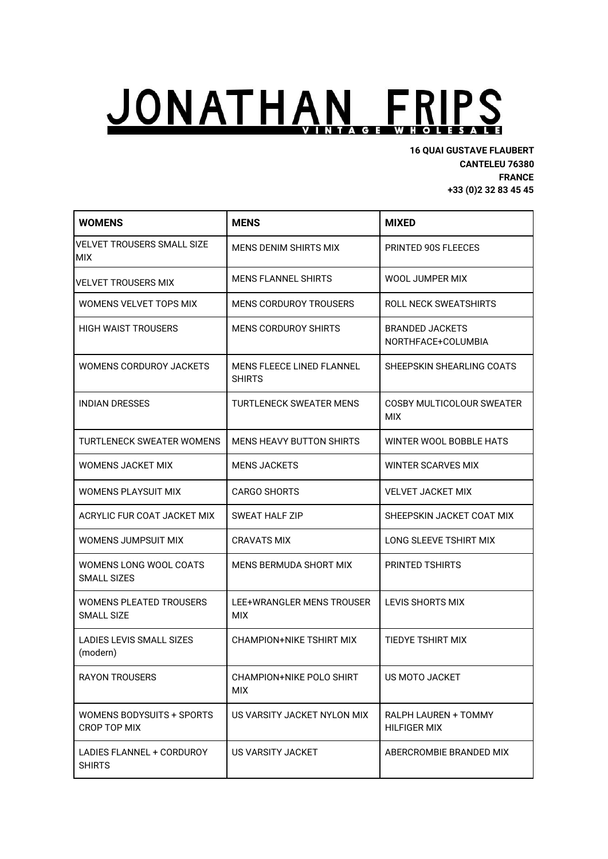## JONATHAN FRIPS INTAGE W HOLESALE

**16 QUAI GUSTAVE FLAUBERT CANTELEU 76380 FRANCE +33 (0)2 32 83 45 45**

| <b>WOMENS</b>                                | <b>MENS</b>                                       | <b>MIXED</b>                                 |
|----------------------------------------------|---------------------------------------------------|----------------------------------------------|
| VELVET TROUSERS SMALL SIZE<br>MIX            | MENS DENIM SHIRTS MIX                             | PRINTED 90S FLEECES                          |
| VELVET TROUSERS MIX                          | <b>MENS FLANNEL SHIRTS</b>                        | WOOL JUMPER MIX                              |
| WOMENS VELVET TOPS MIX                       | MENS CORDUROY TROUSERS                            | ROLL NECK SWEATSHIRTS                        |
| HIGH WAIST TROUSERS                          | <b>MENS CORDUROY SHIRTS</b>                       | <b>BRANDED JACKETS</b><br>NORTHFACE+COLUMBIA |
| WOMENS CORDUROY JACKETS                      | <b>MENS FLEECE LINED FLANNEL</b><br><b>SHIRTS</b> | SHEEPSKIN SHEARLING COATS                    |
| <b>INDIAN DRESSES</b>                        | TURTLENECK SWEATER MENS                           | COSBY MULTICOLOUR SWEATER<br>MIX             |
| TURTI FNFCK SWFATFR WOMFNS                   | MENS HEAVY BUTTON SHIRTS                          | WINTER WOOL BOBBLE HATS                      |
| WOMENS JACKET MIX                            | <b>MENS JACKETS</b>                               | WINTER SCARVES MIX                           |
| WOMENS PLAYSUIT MIX                          | <b>CARGO SHORTS</b>                               | <b>VELVET JACKET MIX</b>                     |
| ACRYLIC FUR COAT JACKET MIX                  | SWEAT HALF ZIP                                    | SHEEPSKIN JACKET COAT MIX                    |
| WOMENS JUMPSUIT MIX                          | CRAVATS MIX                                       | LONG SLEEVE TSHIRT MIX                       |
| WOMENS LONG WOOL COATS<br><b>SMALL SIZES</b> | MENS BERMUDA SHORT MIX                            | PRINTED TSHIRTS                              |
| WOMENS PLEATED TROUSERS<br><b>SMALL SIZE</b> | LEE+WRANGLER MENS TROUSER<br><b>MIX</b>           | <b>LEVIS SHORTS MIX</b>                      |
| LADIES LEVIS SMALL SIZES<br>(modern)         | CHAMPION+NIKE TSHIRT MIX                          | <b>TIEDYE TSHIRT MIX</b>                     |
| <b>RAYON TROUSERS</b>                        | CHAMPION+NIKE POLO SHIRT<br><b>MIX</b>            | US MOTO JACKET                               |
| WOMENS BODYSUITS + SPORTS<br>CROP TOP MIX    | US VARSITY JACKET NYLON MIX                       | RALPH LAUREN + TOMMY<br><b>HILFIGER MIX</b>  |
| LADIES FLANNEL + CORDUROY<br><b>SHIRTS</b>   | US VARSITY JACKET                                 | ABERCROMBIE BRANDED MIX                      |